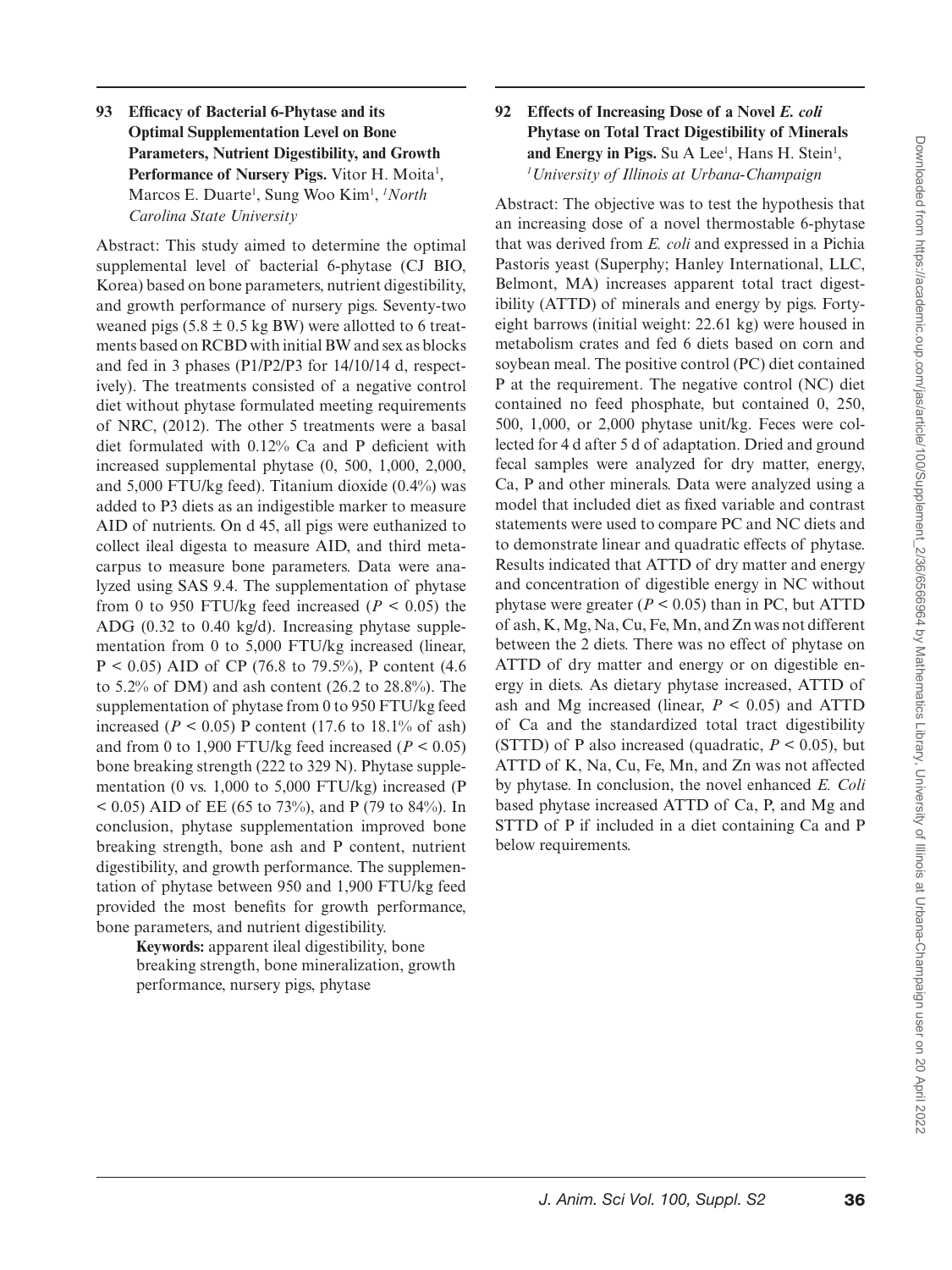## **93 Efficacy of Bacterial 6-Phytase and its Optimal Supplementation Level on Bone Parameters, Nutrient Digestibility, and Growth**  Performance of Nursery Pigs. Vitor H. Moita<sup>1</sup>, Marcos E. Duarte<sup>1</sup>, Sung Woo Kim<sup>1</sup>, *<sup>1</sup>North Carolina State University*

Abstract: This study aimed to determine the optimal supplemental level of bacterial 6-phytase (CJ BIO, Korea) based on bone parameters, nutrient digestibility, and growth performance of nursery pigs. Seventy-two weaned pigs  $(5.8 \pm 0.5 \text{ kg BW})$  were allotted to 6 treatments based on RCBD with initial BW and sex as blocks and fed in 3 phases (P1/P2/P3 for 14/10/14 d, respectively). The treatments consisted of a negative control diet without phytase formulated meeting requirements of NRC, (2012). The other 5 treatments were a basal diet formulated with 0.12% Ca and P deficient with increased supplemental phytase (0, 500, 1,000, 2,000, and 5,000 FTU/kg feed). Titanium dioxide (0.4%) was added to P3 diets as an indigestible marker to measure AID of nutrients. On d 45, all pigs were euthanized to collect ileal digesta to measure AID, and third metacarpus to measure bone parameters. Data were analyzed using SAS 9.4. The supplementation of phytase from 0 to 950 FTU/kg feed increased  $(P < 0.05)$  the ADG (0.32 to 0.40 kg/d). Increasing phytase supplementation from 0 to 5,000 FTU/kg increased (linear,  $P < 0.05$ ) AID of CP (76.8 to 79.5%), P content (4.6) to 5.2% of DM) and ash content (26.2 to 28.8%). The supplementation of phytase from 0 to 950 FTU/kg feed increased ( $P < 0.05$ ) P content (17.6 to 18.1% of ash) and from 0 to 1,900 FTU/kg feed increased  $(P < 0.05)$ bone breaking strength (222 to 329 N). Phytase supplementation (0 vs. 1,000 to 5,000 FTU/kg) increased (P  $< 0.05$ ) AID of EE (65 to 73%), and P (79 to 84%). In conclusion, phytase supplementation improved bone breaking strength, bone ash and P content, nutrient digestibility, and growth performance. The supplementation of phytase between 950 and 1,900 FTU/kg feed provided the most benefits for growth performance, bone parameters, and nutrient digestibility.

> **Keywords:** apparent ileal digestibility, bone breaking strength, bone mineralization, growth performance, nursery pigs, phytase

## **92 Effects of Increasing Dose of a Novel** *E. coli* **Phytase on Total Tract Digestibility of Minerals**  and Energy in Pigs. Su A Lee<sup>1</sup>, Hans H. Stein<sup>1</sup>, *1 University of Illinois at Urbana-Champaign*

Abstract: The objective was to test the hypothesis that an increasing dose of a novel thermostable 6-phytase that was derived from *E. coli* and expressed in a Pichia Pastoris yeast (Superphy; Hanley International, LLC, Belmont, MA) increases apparent total tract digestibility (ATTD) of minerals and energy by pigs. Fortyeight barrows (initial weight: 22.61 kg) were housed in metabolism crates and fed 6 diets based on corn and soybean meal. The positive control (PC) diet contained P at the requirement. The negative control (NC) diet contained no feed phosphate, but contained 0, 250, 500, 1,000, or 2,000 phytase unit/kg. Feces were collected for 4 d after 5 d of adaptation. Dried and ground fecal samples were analyzed for dry matter, energy, Ca, P and other minerals. Data were analyzed using a model that included diet as fixed variable and contrast statements were used to compare PC and NC diets and to demonstrate linear and quadratic effects of phytase. Results indicated that ATTD of dry matter and energy and concentration of digestible energy in NC without phytase were greater  $(P < 0.05)$  than in PC, but ATTD of ash, K, Mg, Na, Cu, Fe, Mn, and Zn was not different between the 2 diets. There was no effect of phytase on ATTD of dry matter and energy or on digestible energy in diets. As dietary phytase increased, ATTD of ash and Mg increased (linear,  $P < 0.05$ ) and ATTD of Ca and the standardized total tract digestibility (STTD) of P also increased (quadratic,  $P < 0.05$ ), but ATTD of K, Na, Cu, Fe, Mn, and Zn was not affected by phytase. In conclusion, the novel enhanced *E. Coli* based phytase increased ATTD of Ca, P, and Mg and STTD of P if included in a diet containing Ca and P below requirements.